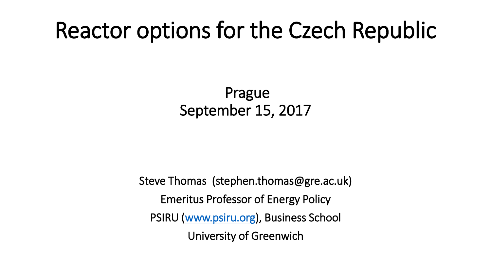# Reactor options for the Czech Republic

Prague September 15, 2017

Steve Thomas (stephen.thomas@gre.ac.uk) Emeritus Professor of Energy Policy PSIRU ([www.psiru.org](http://www.psiru.org/)), Business School University of Greenwich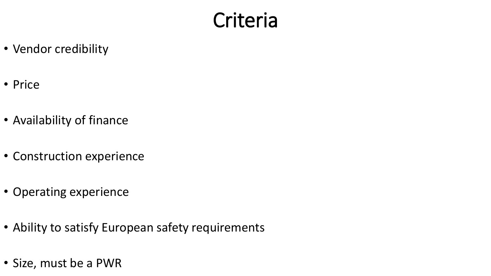#### **Criteria**

- Vendor credibility
- Price
- Availability of finance
- Construction experience
- Operating experience
- Ability to satisfy European safety requirements
- Size, must be a PWR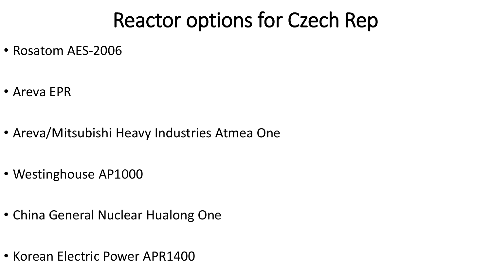### Reactor options for Czech Rep

- Rosatom AES-2006
- Areva EPR
- Areva/Mitsubishi Heavy Industries Atmea One
- Westinghouse AP1000
- China General Nuclear Hualong One
- Korean Electric Power APR1400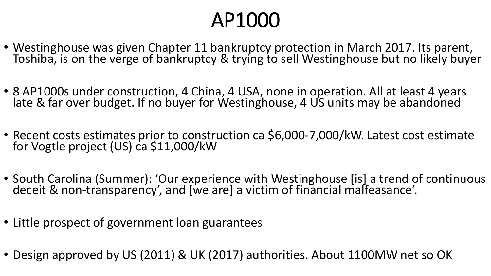## AP1000

- Westinghouse was given Chapter 11 bankruptcy protection in March 2017. Its parent, Toshiba, is on the verge of bankruptcy & trying to sell Westinghouse but no likely buyer
- 8 AP1000s under construction, 4 China, 4 USA, none in operation. All at least 4 years late & far over budget. If no buyer for Westinghouse, 4 US units may be abandoned
- Recent costs estimates prior to construction ca \$6,000-7,000/kW. Latest cost estimate for Vogtle project (US) ca \$11,000/kW
- South Carolina (Summer): 'Our experience with Westinghouse [is] a trend of continuous deceit & non-transparency', and [we are] a victim of financial malfeasance'.
- Little prospect of government loan guarantees
- Design approved by US (2011) & UK (2017) authorities. About 1100MW net so OK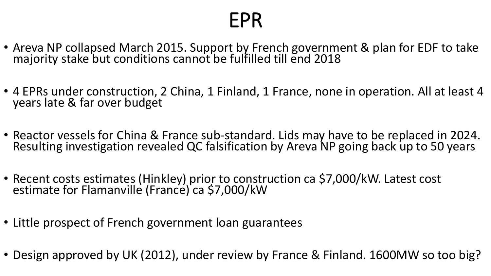#### EPR

- Areva NP collapsed March 2015. Support by French government & plan for EDF to take majority stake but conditions cannot be fulfilled till end 2018
- 4 EPRs under construction, 2 China, 1 Finland, 1 France, none in operation. All at least 4 years late & far over budget
- Reactor vessels for China & France sub-standard. Lids may have to be replaced in 2024. Resulting investigation revealed QC falsification by Areva NP going back up to 50 years
- Recent costs estimates (Hinkley) prior to construction ca \$7,000/kW. Latest cost estimate for Flamanville (France) ca \$7,000/kW
- Little prospect of French government loan guarantees
- Design approved by UK (2012), under review by France & Finland. 1600MW so too big?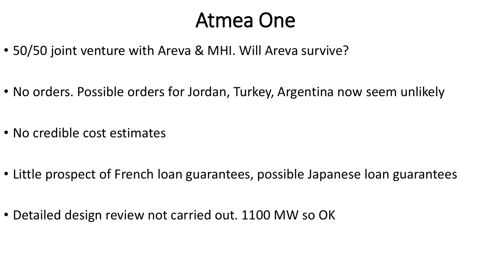#### Atmea One

- 50/50 joint venture with Areva & MHI. Will Areva survive?
- No orders. Possible orders for Jordan, Turkey, Argentina now seem unlikely
- No credible cost estimates
- Little prospect of French loan guarantees, possible Japanese loan guarantees
- Detailed design review not carried out. 1100 MW so OK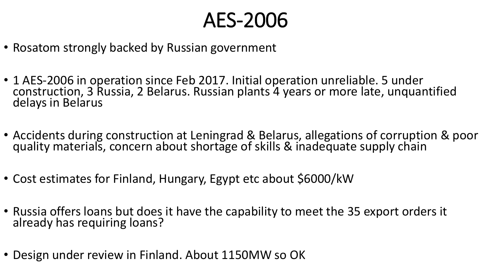### AES-2006

- Rosatom strongly backed by Russian government
- 1 AES-2006 in operation since Feb 2017. Initial operation unreliable. 5 under construction, 3 Russia, 2 Belarus. Russian plants 4 years or more late, unquantified delays in Belarus
- Accidents during construction at Leningrad & Belarus, allegations of corruption & poor quality materials, concern about shortage of skills & inadequate supply chain
- Cost estimates for Finland, Hungary, Egypt etc about \$6000/kW
- Russia offers loans but does it have the capability to meet the 35 export orders it already has requiring loans?
- Design under review in Finland. About 1150MW so OK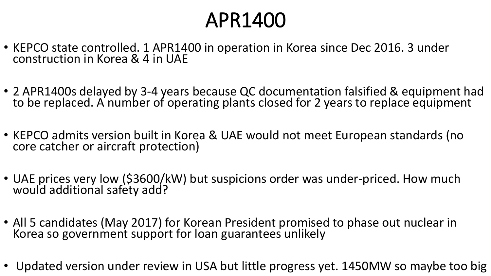### APR1400

- KEPCO state controlled. 1 APR1400 in operation in Korea since Dec 2016. 3 under construction in Korea & 4 in UAE
- 2 APR1400s delayed by 3-4 years because QC documentation falsified & equipment had to be replaced. A number of operating plants closed for 2 years to replace equipment
- KEPCO admits version built in Korea & UAE would not meet European standards (no core catcher or aircraft protection)
- UAE prices very low (\$3600/kW) but suspicions order was under-priced. How much would additional safety add?
- All 5 candidates (May 2017) for Korean President promised to phase out nuclear in Korea so government support for loan guarantees unlikely
- Updated version under review in USA but little progress yet. 1450MW so maybe too big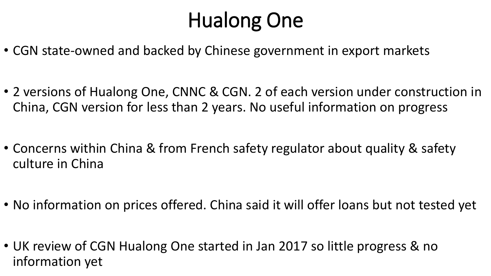# Hualong One

- CGN state-owned and backed by Chinese government in export markets
- 2 versions of Hualong One, CNNC & CGN. 2 of each version under construction in China, CGN version for less than 2 years. No useful information on progress
- Concerns within China & from French safety regulator about quality & safety culture in China
- No information on prices offered. China said it will offer loans but not tested yet
- UK review of CGN Hualong One started in Jan 2017 so little progress & no information yet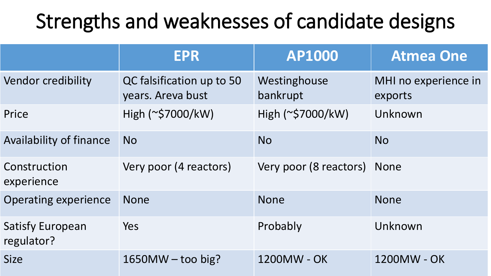## Strengths and weaknesses of candidate designs

|                                       | <b>EPR</b>                                     | <b>AP1000</b>               | <b>Atmea One</b>                |
|---------------------------------------|------------------------------------------------|-----------------------------|---------------------------------|
| <b>Vendor credibility</b>             | QC falsification up to 50<br>years. Areva bust | Westinghouse<br>bankrupt    | MHI no experience in<br>exports |
| Price                                 | High (~\$7000/kW)                              | High (~\$7000/kW)           | Unknown                         |
| <b>Availability of finance</b>        | <b>No</b>                                      | <b>No</b>                   | <b>No</b>                       |
| Construction<br>experience            | Very poor (4 reactors)                         | Very poor (8 reactors) None |                                 |
| <b>Operating experience</b>           | <b>None</b>                                    | <b>None</b>                 | <b>None</b>                     |
| <b>Satisfy European</b><br>regulator? | <b>Yes</b>                                     | Probably                    | Unknown                         |
| <b>Size</b>                           | $1650MW - too big?$                            | 1200MW - OK                 | 1200MW - OK                     |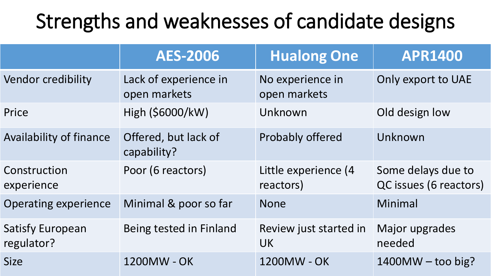## Strengths and weaknesses of candidate designs

|                                       | <b>AES-2006</b>                       | <b>Hualong One</b>                  | <b>APR1400</b>                               |
|---------------------------------------|---------------------------------------|-------------------------------------|----------------------------------------------|
| Vendor credibility                    | Lack of experience in<br>open markets | No experience in<br>open markets    | Only export to UAE                           |
| Price                                 | High (\$6000/kW)                      | Unknown                             | Old design low                               |
| <b>Availability of finance</b>        | Offered, but lack of<br>capability?   | <b>Probably offered</b>             | Unknown                                      |
| Construction<br>experience            | Poor (6 reactors)                     | Little experience (4<br>reactors)   | Some delays due to<br>QC issues (6 reactors) |
| <b>Operating experience</b>           | Minimal & poor so far                 | <b>None</b>                         | Minimal                                      |
| <b>Satisfy European</b><br>regulator? | Being tested in Finland               | Review just started in<br><b>UK</b> | Major upgrades<br>needed                     |
| <b>Size</b>                           | 1200MW - OK                           | 1200MW - OK                         | $1400MW - too big?$                          |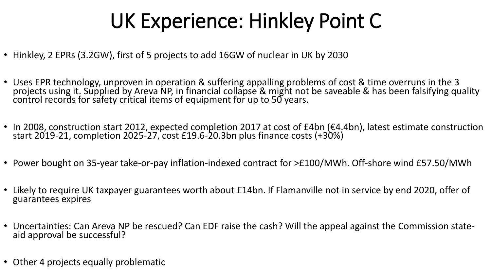## UK Experience: Hinkley Point C

- Hinkley, 2 EPRs (3.2GW), first of 5 projects to add 16GW of nuclear in UK by 2030
- Uses EPR technology, unproven in operation & suffering appalling problems of cost & time overruns in the 3 projects using it. Supplied by Areva NP, in financial collapse & might not be saveable & has been falsifying quality control records for safety critical items of equipment for up to 50 years.
- In 2008, construction start 2012, expected completion 2017 at cost of £4bn (€4.4bn), latest estimate construction start 2019-21, completion 2025-27, cost £19.6-20.3bn plus finance costs (+30%)
- Power bought on 35-year take-or-pay inflation-indexed contract for >£100/MWh. Off-shore wind £57.50/MWh
- Likely to require UK taxpayer guarantees worth about £14bn. If Flamanville not in service by end 2020, offer of guarantees expires
- Uncertainties: Can Areva NP be rescued? Can EDF raise the cash? Will the appeal against the Commission stateaid approval be successful?
- Other 4 projects equally problematic